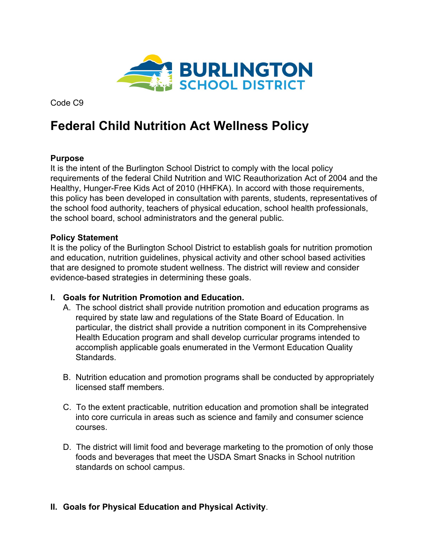

Code C9

# **Federal Child Nutrition Act Wellness Policy**

### **Purpose**

It is the intent of the Burlington School District to comply with the local policy requirements of the federal Child Nutrition and WIC Reauthorization Act of 2004 and the Healthy, Hunger-Free Kids Act of 2010 (HHFKA). In accord with those requirements, this policy has been developed in consultation with parents, students, representatives of the school food authority, teachers of physical education, school health professionals, the school board, school administrators and the general public.

#### **Policy Statement**

It is the policy of the Burlington School District to establish goals for nutrition promotion and education, nutrition guidelines, physical activity and other school based activities that are designed to promote student wellness. The district will review and consider evidence-based strategies in determining these goals.

#### **I. Goals for Nutrition Promotion and Education.**

- A. The school district shall provide nutrition promotion and education programs as required by state law and regulations of the State Board of Education. In particular, the district shall provide a nutrition component in its Comprehensive Health Education program and shall develop curricular programs intended to accomplish applicable goals enumerated in the Vermont Education Quality Standards.
- B. Nutrition education and promotion programs shall be conducted by appropriately licensed staff members.
- C. To the extent practicable, nutrition education and promotion shall be integrated into core curricula in areas such as science and family and consumer science courses.
- D. The district will limit food and beverage marketing to the promotion of only those foods and beverages that meet the USDA Smart Snacks in School nutrition standards on school campus.

## **II. Goals for Physical Education and Physical Activity**.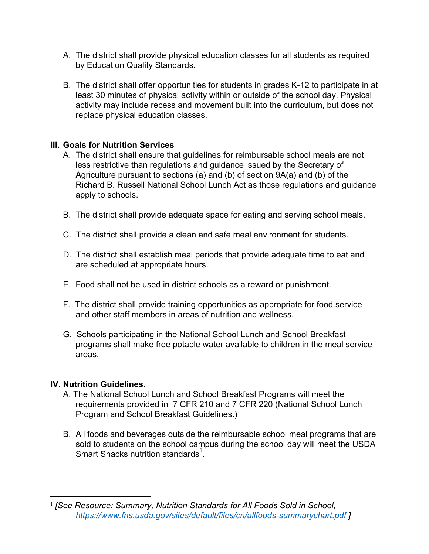- A. The district shall provide physical education classes for all students as required by Education Quality Standards.
- B. The district shall offer opportunities for students in grades K-12 to participate in at least 30 minutes of physical activity within or outside of the school day. Physical activity may include recess and movement built into the curriculum, but does not replace physical education classes.

#### **III. Goals for Nutrition Services**

- A. The district shall ensure that guidelines for reimbursable school meals are not less restrictive than regulations and guidance issued by the Secretary of Agriculture pursuant to sections (a) and (b) of section 9A(a) and (b) of the Richard B. Russell National School Lunch Act as those regulations and guidance apply to schools.
- B. The district shall provide adequate space for eating and serving school meals.
- C. The district shall provide a clean and safe meal environment for students.
- D. The district shall establish meal periods that provide adequate time to eat and are scheduled at appropriate hours.
- E. Food shall not be used in district schools as a reward or punishment.
- F. The district shall provide training opportunities as appropriate for food service and other staff members in areas of nutrition and wellness.
- G. Schools participating in the National School Lunch and School Breakfast programs shall make free potable water available to children in the meal service areas.

#### **IV. Nutrition Guidelines**.

- A. The National School Lunch and School Breakfast Programs will meet the requirements provided in 7 CFR 210 and 7 CFR 220 (National School Lunch Program and School Breakfast Guidelines.)
- B. All foods and beverages outside the reimbursable school meal programs that are sold to students on the school campus during the school day will meet the USDA Smart Snacks nutrition standards $^{\text{1}}$ .

<sup>1</sup> *[See Resource: Summary, Nutrition Standards for All Foods Sold in School, [https://www.fns.usda.gov/sites/default/files/cn/allfoods-summarychart.pdf](https://www.fns.usda.gov/sites/default/files/cn/allfoods-summarychart.pdf%20) ]*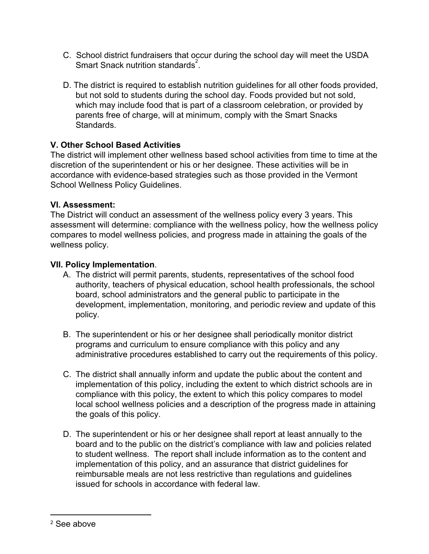- C. School district fundraisers that occur during the school day will meet the USDA Smart Snack nutrition standards $^{2}$ .
- D. The district is required to establish nutrition guidelines for all other foods provided, but not sold to students during the school day. Foods provided but not sold, which may include food that is part of a classroom celebration, or provided by parents free of charge, will at minimum, comply with the Smart Snacks Standards.

## **V. Other School Based Activities**

The district will implement other wellness based school activities from time to time at the discretion of the superintendent or his or her designee. These activities will be in accordance with evidence-based strategies such as those provided in the Vermont School Wellness Policy Guidelines.

#### **VI. Assessment:**

The District will conduct an assessment of the wellness policy every 3 years. This assessment will determine: compliance with the wellness policy, how the wellness policy compares to model wellness policies, and progress made in attaining the goals of the wellness policy.

#### **VII. Policy Implementation**.

- A. The district will permit parents, students, representatives of the school food authority, teachers of physical education, school health professionals, the school board, school administrators and the general public to participate in the development, implementation, monitoring, and periodic review and update of this policy.
- B. The superintendent or his or her designee shall periodically monitor district programs and curriculum to ensure compliance with this policy and any administrative procedures established to carry out the requirements of this policy.
- C. The district shall annually inform and update the public about the content and implementation of this policy, including the extent to which district schools are in compliance with this policy, the extent to which this policy compares to model local school wellness policies and a description of the progress made in attaining the goals of this policy.
- D. The superintendent or his or her designee shall report at least annually to the board and to the public on the district's compliance with law and policies related to student wellness. The report shall include information as to the content and implementation of this policy, and an assurance that district guidelines for reimbursable meals are not less restrictive than regulations and guidelines issued for schools in accordance with federal law.

<sup>2</sup> See above